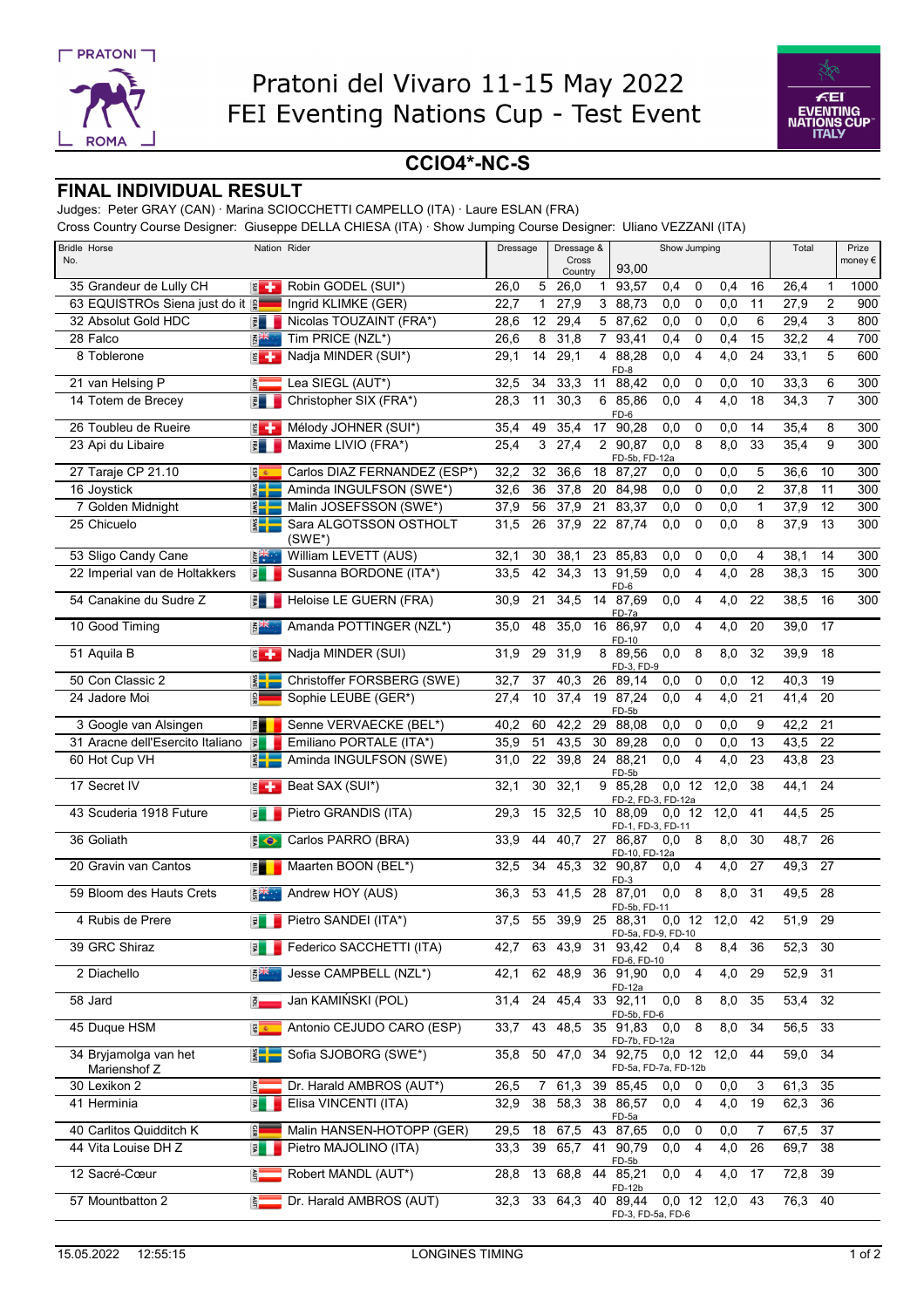



## **CCIO4\*-NC-S**

## **FINAL INDIVIDUAL RESULT**

Judges: Peter GRAY (CAN) · Marina SCIOCCHETTI CAMPELLO (ITA) · Laure ESLAN (FRA)

Cross Country Course Designer: Giuseppe DELLA CHIESA (ITA) · Show Jumping Course Designer: Uliano VEZZANI (ITA)

| 93,00<br>Country<br>35 Grandeur de Lully CH<br>Robin GODEL (SUI*)<br>5<br>26,0<br>93,57<br>0<br>0,4<br>16<br>26,4<br>1000<br>图卡<br>26,0<br>0,4<br>$\mathbf{1}$<br>1<br>$\overline{c}$<br>63 EQUISTROs Siena just do it  <br>Ingrid KLIMKE (GER)<br>0,0<br>11<br>27,9<br>22,7<br>27,9<br>3<br>88,73<br>0,0<br>$\mathbf 0$<br>900<br>$\mathbf{1}$<br>Nicolas TOUZAINT (FRA*)<br>29,4<br>$\overline{5}$ 87,62<br>3<br>800<br>32 Absolut Gold HDC<br>引<br>12<br>0<br>0,0<br>6<br>29,4<br>28,6<br>0,0<br>4<br>Tim PRICE (NZL*)<br>31,8<br>$\overline{7}$<br>0<br>0,4<br>15<br>32,2<br>700<br>28 Falco<br>酣大<br>26,6<br>8<br>93,41<br>0,4<br>600<br>Nadja MINDER (SUI*)<br>29,1<br>$\overline{4}$<br>$\overline{4,0}$<br>24<br>5<br>8 Toblerone<br>29,1<br>14<br>4 88,28<br>0,0<br>33,1<br>$E +$<br>FD-8<br>300<br>21 van Helsing P<br>Lea SIEGL (AUT*)<br>32,5<br>34<br>33,3<br>0,0<br>0<br>0,0<br>33,3<br>6<br>È.<br>11<br>88,42<br>10<br>Christopher SIX (FRA*)<br>11<br>30,3<br>$\overline{4}$<br>34,3<br>$\overline{7}$<br>300<br>14 Totem de Brecey<br>$\frac{1}{\sqrt{2}}$<br>28,3<br>6<br>85,86<br>0,0<br>4,0<br>18<br>FD-6<br>Mélody JOHNER (SUI*)<br>26 Toubleu de Rueire<br>35,4<br>17<br>90,28<br>0,0<br>0,0<br>35,4<br>300<br>$E +$<br>35,4<br>49<br>0<br>14<br>8<br>300<br>Maxime LIVIO (FRA*)<br>3<br>27,4<br>0,0<br>8<br>$\overline{8,0}$<br>33<br>35,4<br>9<br>23 Api du Libaire<br>25,4<br>$\overline{2}$<br>90,87<br>$\frac{1}{5}$<br>FD-5b, FD-12a<br>27 Taraje CP 21.10<br>Carlos DIAZ FERNANDEZ (ESP*)<br>36,6<br>300<br><b>B</b><br>32,2<br>32<br>$\overline{18}$ 87,27<br>0<br>0,0<br>5<br>36,6<br>10<br>0,0<br>$\frac{2}{3}$<br>37,8<br>$\overline{2}$<br>300<br>16 Joystick<br>Aminda INGULFSON (SWE*)<br>32,6<br>36<br>20<br>84,98<br>0<br>0,0<br>37,8<br>11<br>0,0<br>7 Golden Midnight<br>Malin JOSEFSSON (SWE*)<br>37,9<br>21<br>0<br>0,0<br>$\mathbf{1}$<br>37,9<br>12<br>$E =$<br>37,9<br>56<br>83,37<br>0,0<br>300<br>300<br>Sara ALGOTSSON OSTHOLT<br>26<br>37,9<br>22<br>87,74<br>$\mathbf 0$<br>0,0<br>8<br>37,9<br>13<br>25 Chicuelo<br>$E =$<br>31,5<br>0,0<br>$(SWE*)$<br>53 Sligo Candy Cane<br>William LEVETT (AUS)<br>300<br>ぼ米<br>32,1<br>30<br>38,1<br>23<br>85,83<br>0,0<br>38,1<br>14<br>0,0<br>0<br>4<br>Susanna BORDONE (ITA*)<br>42<br>34,3<br>13 91,59<br>0,0<br>$\overline{4}$<br>$\overline{4,0}$<br>28<br>300<br>22 Imperial van de Holtakkers<br>33,5<br>38,3<br>15<br>国<br>FD-6<br>Heloise LE GUERN (FRA)<br>21<br>34,5<br>14 87,69<br>0,0<br>$\overline{4}$<br>$\overline{4,0}$<br>22<br>$\overline{300}$<br>54 Canakine du Sudre Z<br>30,9<br>38,5<br>16<br>$\frac{1}{\sqrt{2}}$<br>FD-7a<br>Amanda POTTINGER (NZL*)<br>10 Good Timing<br>$\overline{48}$<br>35,0<br>0,0<br>$\overline{4,0}$<br>$\overline{20}$<br>39,0<br>$\overline{17}$<br><b>EN</b><br>35,0<br>16 86,97<br>$\overline{4}$<br>FD-10<br>Nadja MINDER (SUI)<br>31,9<br>51 Aquila B<br>31,9<br>29<br>8 89,56<br>0,0<br>8<br>8,0<br>32<br>39,9<br>18<br>$\epsilon$<br>FD-3, FD-9<br>50 Con Classic 2<br>$\frac{2}{3}$<br>Christoffer FORSBERG (SWE)<br>0,0<br>12<br>40,3<br>19<br>32,7<br>37<br>40,3<br>26 89,14<br>0,0<br>0<br>24 Jadore Moi<br>Sophie LEUBE (GER*)<br>19 87,24<br>$\overline{4}$<br>4,0<br>21<br>41,4<br>$\mathbf{G}^{\mathrm{H}}_{\mathrm{H}}$<br>27,4<br>10<br>37,4<br>0,0<br>20<br>FD-5b<br>42,2<br>21<br>門<br>Senne VERVAECKE (BEL*)<br>40,2<br>42,2<br>29<br>88,08<br>0,0<br>0,0<br>3 Google van Alsingen<br>60<br>0<br>9<br>$\overline{22}$<br>31 Aracne dell'Esercito Italiano<br>Emiliano PORTALE (ITA*)<br>13<br>引<br>35,9<br>51<br>43,5<br>30<br>89,28<br>0,0<br>$\mathbf 0$<br>0,0<br>43,5<br>Aminda INGULFSON (SWE)<br>22<br>39,8<br>24<br>$\overline{4,0}$<br>23<br>60 Hot Cup VH<br>$\mathbf{E}$<br>31,0<br>88,21<br>0,0<br>$\overline{4}$<br>23<br>43,8<br>FD-5b<br>17 Secret IV<br>Beat SAX (SUI*)<br>32,1<br>44,1<br>24<br>32,1<br>30<br>9 85.28<br>$0,0$ 12<br>12,0<br>38<br>$\leq$ $-$<br>FD-2, FD-3, FD-12a<br>Pietro GRANDIS (ITA)<br>32,5<br>$0,0$ 12 12,0<br>41<br>25<br>43 Scuderia 1918 Future<br>29,3<br>15<br>10 88,09<br>44,5<br>量<br>FD-1, FD-3, FD-11<br>Carlos PARRO (BRA)<br>8,0<br>26<br>36 Goliath<br>$rac{6}{5}$<br>33,9<br>44<br>40,7<br>27 86,87<br>8<br>30<br>48,7<br>0.0<br>FD-10, FD-12a<br>Maarten BOON (BEL*)<br>27<br>20 Gravin van Cantos<br>32,5<br>34<br>45,3 32 90,87<br>$\overline{4}$<br>4,0<br>27<br>49,3<br>門<br>0,0<br>FD-3<br>28 87,01<br>59 Bloom des Hauts Crets<br>Andrew HOY (AUS)<br>36,3<br>53<br>41,5<br>0,0<br>8<br>8,0<br>31<br>49,5<br>28<br>$\mathbb{R}^*$ .<br>FD-5b, FD-11<br>Pietro SANDEI (ITA*)<br>37,5<br>55<br>39,9<br>25 88,31<br>0.0 12<br>12,0<br>42<br>51,9<br>29<br>4 Rubis de Prere<br>国<br>FD-5a, FD-9, FD-10<br>39 GRC Shiraz<br>Federico SACCHETTI (ITA)<br>43,9 31 93,42 0,4<br>52,3<br>30<br>63<br>8<br>8,4<br>36<br>42,7<br>₹<br>FD-6, FD-10<br>Jesse CAMPBELL (NZL*)<br>52,9<br>2 Diachello<br>62<br>48,9<br>$\overline{36}$ 91,90<br>4<br>4,0<br>29<br>31<br><b>NA</b><br>42,1<br>0,0<br>FD-12a<br>Jan KAMIŃSKI (POL)<br>45,4<br>33 92,11<br>8<br>58 Jard<br>24<br>0,0<br>8,0<br>35<br>53,4<br>32<br>$\frac{3}{2}$<br>31,4<br>FD-5b, FD-6<br>Antonio CEJUDO CARO (ESP)<br>8<br>45 Duque HSM<br>33,7<br>43<br>48,5<br>35 91,83<br>8,0<br>34<br>56,5<br>33<br>0,0<br><b>S</b> 全<br>FD-7b, FD-12a<br>Sofia SJOBORG (SWE*)<br>34 Bryjamolga van het<br>50<br>47.0 34 92.75<br>$0,0$ 12<br>12,0<br>59,0<br>34<br>$rac{1}{2}$<br>35,8<br>44<br>FD-5a, FD-7a, FD-12b<br>Marienshof Z<br>Dr. Harald AMBROS (AUT*)<br>61,3<br>35<br>30 Lexikon 2<br>š.<br>0,0<br>26,5<br>$\mathbf{7}$<br>61,3<br>39 85,45<br>0,0<br>3<br>0<br>38<br>Elisa VINCENTI (ITA)<br>32,9<br>58,3<br>38<br>86,57<br>0,0<br>$\overline{4}$<br>4,0<br>19<br>62,3<br>36<br>41 Herminia<br>国<br>FD-5a<br>Malin HANSEN-HOTOPP (GER)<br>37<br>40 Carlitos Quidditch K<br>$\frac{1}{2}$<br>29,5<br>18<br>67,5<br>43 87,65<br>0,0<br>0,0<br>67,5<br>0<br>7<br>44 Vita Louise DH Z<br>Pietro MAJOLINO (ITA)<br>33,3<br>39<br>65,7<br>41<br>90,79<br>0,0<br>$\overline{4}$<br>4,0<br>26<br>69,7<br>38<br>量<br>$FD-5b$<br>12 Sacré-Cœur<br>Robert MANDL (AUT*)<br>13<br>68,8<br>0,0<br>4<br>4,0<br>72,8<br>39<br>28,8<br>44 85,21<br>17<br>FD-12b<br>Dr. Harald AMBROS (AUT)<br>57 Mountbatton 2<br>33<br>64,3 40 89,44<br>0.0 12 12.0 43<br>76,3 40<br>š.<br>32,3<br>FD-3, FD-5a, FD-6 | <b>Bridle Horse</b> | Nation Rider | Dressage |       | Dressage &<br>Show Jumping |  |  |  |  | Total |  | Prize   |
|---------------------------------------------------------------------------------------------------------------------------------------------------------------------------------------------------------------------------------------------------------------------------------------------------------------------------------------------------------------------------------------------------------------------------------------------------------------------------------------------------------------------------------------------------------------------------------------------------------------------------------------------------------------------------------------------------------------------------------------------------------------------------------------------------------------------------------------------------------------------------------------------------------------------------------------------------------------------------------------------------------------------------------------------------------------------------------------------------------------------------------------------------------------------------------------------------------------------------------------------------------------------------------------------------------------------------------------------------------------------------------------------------------------------------------------------------------------------------------------------------------------------------------------------------------------------------------------------------------------------------------------------------------------------------------------------------------------------------------------------------------------------------------------------------------------------------------------------------------------------------------------------------------------------------------------------------------------------------------------------------------------------------------------------------------------------------------------------------------------------------------------------------------------------------------------------------------------------------------------------------------------------------------------------------------------------------------------------------------------------------------------------------------------------------------------------------------------------------------------------------------------------------------------------------------------------------------------------------------------------------------------------------------------------------------------------------------------------------------------------------------------------------------------------------------------------------------------------------------------------------------------------------------------------------------------------------------------------------------------------------------------------------------------------------------------------------------------------------------------------------------------------------------------------------------------------------------------------------------------------------------------------------------------------------------------------------------------------------------------------------------------------------------------------------------------------------------------------------------------------------------------------------------------------------------------------------------------------------------------------------------------------------------------------------------------------------------------------------------------------------------------------------------------------------------------------------------------------------------------------------------------------------------------------------------------------------------------------------------------------------------------------------------------------------------------------------------------------------------------------------------------------------------------------------------------------------------------------------------------------------------------------------------------------------------------------------------------------------------------------------------------------------------------------------------------------------------------------------------------------------------------------------------------------------------------------------------------------------------------------------------------------------------------------------------------------------------------------------------------------------------------------------------------------------------------------------------------------------------------------------------------------------------------------------------------------------------------------------------------------------------------------------------------------------------------------------------------------------------------------------------------------------------------------------------------------------------------------------------------------------------------------------------------------------------------------------------------------------------------------------------------------------------------------------------------------------------------------------------------------------------------------------------------------------------------------------------------------------------------------------------------------------------------------------------------------------------------------------------------------------------------------------------------------------------------------------------------------------------------------------------------------------------------------------------------------------------------------------------------------------------------------------------------------------------------------------------------------------------------------------------------------------------------------------------------------------------------------------------------------------------------------------------------------------------------------------------------------------------------------|---------------------|--------------|----------|-------|----------------------------|--|--|--|--|-------|--|---------|
|                                                                                                                                                                                                                                                                                                                                                                                                                                                                                                                                                                                                                                                                                                                                                                                                                                                                                                                                                                                                                                                                                                                                                                                                                                                                                                                                                                                                                                                                                                                                                                                                                                                                                                                                                                                                                                                                                                                                                                                                                                                                                                                                                                                                                                                                                                                                                                                                                                                                                                                                                                                                                                                                                                                                                                                                                                                                                                                                                                                                                                                                                                                                                                                                                                                                                                                                                                                                                                                                                                                                                                                                                                                                                                                                                                                                                                                                                                                                                                                                                                                                                                                                                                                                                                                                                                                                                                                                                                                                                                                                                                                                                                                                                                                                                                                                                                                                                                                                                                                                                                                                                                                                                                                                                                                                                                                                                                                                                                                                                                                                                                                                                                                                                                                                                                                                                                                                                                                                                                                                                                                                                                                                                                                                                                                                                                                                                                     | No.                 |              |          | Cross |                            |  |  |  |  |       |  | money € |
|                                                                                                                                                                                                                                                                                                                                                                                                                                                                                                                                                                                                                                                                                                                                                                                                                                                                                                                                                                                                                                                                                                                                                                                                                                                                                                                                                                                                                                                                                                                                                                                                                                                                                                                                                                                                                                                                                                                                                                                                                                                                                                                                                                                                                                                                                                                                                                                                                                                                                                                                                                                                                                                                                                                                                                                                                                                                                                                                                                                                                                                                                                                                                                                                                                                                                                                                                                                                                                                                                                                                                                                                                                                                                                                                                                                                                                                                                                                                                                                                                                                                                                                                                                                                                                                                                                                                                                                                                                                                                                                                                                                                                                                                                                                                                                                                                                                                                                                                                                                                                                                                                                                                                                                                                                                                                                                                                                                                                                                                                                                                                                                                                                                                                                                                                                                                                                                                                                                                                                                                                                                                                                                                                                                                                                                                                                                                                                     |                     |              |          |       |                            |  |  |  |  |       |  |         |
|                                                                                                                                                                                                                                                                                                                                                                                                                                                                                                                                                                                                                                                                                                                                                                                                                                                                                                                                                                                                                                                                                                                                                                                                                                                                                                                                                                                                                                                                                                                                                                                                                                                                                                                                                                                                                                                                                                                                                                                                                                                                                                                                                                                                                                                                                                                                                                                                                                                                                                                                                                                                                                                                                                                                                                                                                                                                                                                                                                                                                                                                                                                                                                                                                                                                                                                                                                                                                                                                                                                                                                                                                                                                                                                                                                                                                                                                                                                                                                                                                                                                                                                                                                                                                                                                                                                                                                                                                                                                                                                                                                                                                                                                                                                                                                                                                                                                                                                                                                                                                                                                                                                                                                                                                                                                                                                                                                                                                                                                                                                                                                                                                                                                                                                                                                                                                                                                                                                                                                                                                                                                                                                                                                                                                                                                                                                                                                     |                     |              |          |       |                            |  |  |  |  |       |  |         |
|                                                                                                                                                                                                                                                                                                                                                                                                                                                                                                                                                                                                                                                                                                                                                                                                                                                                                                                                                                                                                                                                                                                                                                                                                                                                                                                                                                                                                                                                                                                                                                                                                                                                                                                                                                                                                                                                                                                                                                                                                                                                                                                                                                                                                                                                                                                                                                                                                                                                                                                                                                                                                                                                                                                                                                                                                                                                                                                                                                                                                                                                                                                                                                                                                                                                                                                                                                                                                                                                                                                                                                                                                                                                                                                                                                                                                                                                                                                                                                                                                                                                                                                                                                                                                                                                                                                                                                                                                                                                                                                                                                                                                                                                                                                                                                                                                                                                                                                                                                                                                                                                                                                                                                                                                                                                                                                                                                                                                                                                                                                                                                                                                                                                                                                                                                                                                                                                                                                                                                                                                                                                                                                                                                                                                                                                                                                                                                     |                     |              |          |       |                            |  |  |  |  |       |  |         |
|                                                                                                                                                                                                                                                                                                                                                                                                                                                                                                                                                                                                                                                                                                                                                                                                                                                                                                                                                                                                                                                                                                                                                                                                                                                                                                                                                                                                                                                                                                                                                                                                                                                                                                                                                                                                                                                                                                                                                                                                                                                                                                                                                                                                                                                                                                                                                                                                                                                                                                                                                                                                                                                                                                                                                                                                                                                                                                                                                                                                                                                                                                                                                                                                                                                                                                                                                                                                                                                                                                                                                                                                                                                                                                                                                                                                                                                                                                                                                                                                                                                                                                                                                                                                                                                                                                                                                                                                                                                                                                                                                                                                                                                                                                                                                                                                                                                                                                                                                                                                                                                                                                                                                                                                                                                                                                                                                                                                                                                                                                                                                                                                                                                                                                                                                                                                                                                                                                                                                                                                                                                                                                                                                                                                                                                                                                                                                                     |                     |              |          |       |                            |  |  |  |  |       |  |         |
|                                                                                                                                                                                                                                                                                                                                                                                                                                                                                                                                                                                                                                                                                                                                                                                                                                                                                                                                                                                                                                                                                                                                                                                                                                                                                                                                                                                                                                                                                                                                                                                                                                                                                                                                                                                                                                                                                                                                                                                                                                                                                                                                                                                                                                                                                                                                                                                                                                                                                                                                                                                                                                                                                                                                                                                                                                                                                                                                                                                                                                                                                                                                                                                                                                                                                                                                                                                                                                                                                                                                                                                                                                                                                                                                                                                                                                                                                                                                                                                                                                                                                                                                                                                                                                                                                                                                                                                                                                                                                                                                                                                                                                                                                                                                                                                                                                                                                                                                                                                                                                                                                                                                                                                                                                                                                                                                                                                                                                                                                                                                                                                                                                                                                                                                                                                                                                                                                                                                                                                                                                                                                                                                                                                                                                                                                                                                                                     |                     |              |          |       |                            |  |  |  |  |       |  |         |
|                                                                                                                                                                                                                                                                                                                                                                                                                                                                                                                                                                                                                                                                                                                                                                                                                                                                                                                                                                                                                                                                                                                                                                                                                                                                                                                                                                                                                                                                                                                                                                                                                                                                                                                                                                                                                                                                                                                                                                                                                                                                                                                                                                                                                                                                                                                                                                                                                                                                                                                                                                                                                                                                                                                                                                                                                                                                                                                                                                                                                                                                                                                                                                                                                                                                                                                                                                                                                                                                                                                                                                                                                                                                                                                                                                                                                                                                                                                                                                                                                                                                                                                                                                                                                                                                                                                                                                                                                                                                                                                                                                                                                                                                                                                                                                                                                                                                                                                                                                                                                                                                                                                                                                                                                                                                                                                                                                                                                                                                                                                                                                                                                                                                                                                                                                                                                                                                                                                                                                                                                                                                                                                                                                                                                                                                                                                                                                     |                     |              |          |       |                            |  |  |  |  |       |  |         |
|                                                                                                                                                                                                                                                                                                                                                                                                                                                                                                                                                                                                                                                                                                                                                                                                                                                                                                                                                                                                                                                                                                                                                                                                                                                                                                                                                                                                                                                                                                                                                                                                                                                                                                                                                                                                                                                                                                                                                                                                                                                                                                                                                                                                                                                                                                                                                                                                                                                                                                                                                                                                                                                                                                                                                                                                                                                                                                                                                                                                                                                                                                                                                                                                                                                                                                                                                                                                                                                                                                                                                                                                                                                                                                                                                                                                                                                                                                                                                                                                                                                                                                                                                                                                                                                                                                                                                                                                                                                                                                                                                                                                                                                                                                                                                                                                                                                                                                                                                                                                                                                                                                                                                                                                                                                                                                                                                                                                                                                                                                                                                                                                                                                                                                                                                                                                                                                                                                                                                                                                                                                                                                                                                                                                                                                                                                                                                                     |                     |              |          |       |                            |  |  |  |  |       |  |         |
|                                                                                                                                                                                                                                                                                                                                                                                                                                                                                                                                                                                                                                                                                                                                                                                                                                                                                                                                                                                                                                                                                                                                                                                                                                                                                                                                                                                                                                                                                                                                                                                                                                                                                                                                                                                                                                                                                                                                                                                                                                                                                                                                                                                                                                                                                                                                                                                                                                                                                                                                                                                                                                                                                                                                                                                                                                                                                                                                                                                                                                                                                                                                                                                                                                                                                                                                                                                                                                                                                                                                                                                                                                                                                                                                                                                                                                                                                                                                                                                                                                                                                                                                                                                                                                                                                                                                                                                                                                                                                                                                                                                                                                                                                                                                                                                                                                                                                                                                                                                                                                                                                                                                                                                                                                                                                                                                                                                                                                                                                                                                                                                                                                                                                                                                                                                                                                                                                                                                                                                                                                                                                                                                                                                                                                                                                                                                                                     |                     |              |          |       |                            |  |  |  |  |       |  |         |
|                                                                                                                                                                                                                                                                                                                                                                                                                                                                                                                                                                                                                                                                                                                                                                                                                                                                                                                                                                                                                                                                                                                                                                                                                                                                                                                                                                                                                                                                                                                                                                                                                                                                                                                                                                                                                                                                                                                                                                                                                                                                                                                                                                                                                                                                                                                                                                                                                                                                                                                                                                                                                                                                                                                                                                                                                                                                                                                                                                                                                                                                                                                                                                                                                                                                                                                                                                                                                                                                                                                                                                                                                                                                                                                                                                                                                                                                                                                                                                                                                                                                                                                                                                                                                                                                                                                                                                                                                                                                                                                                                                                                                                                                                                                                                                                                                                                                                                                                                                                                                                                                                                                                                                                                                                                                                                                                                                                                                                                                                                                                                                                                                                                                                                                                                                                                                                                                                                                                                                                                                                                                                                                                                                                                                                                                                                                                                                     |                     |              |          |       |                            |  |  |  |  |       |  |         |
|                                                                                                                                                                                                                                                                                                                                                                                                                                                                                                                                                                                                                                                                                                                                                                                                                                                                                                                                                                                                                                                                                                                                                                                                                                                                                                                                                                                                                                                                                                                                                                                                                                                                                                                                                                                                                                                                                                                                                                                                                                                                                                                                                                                                                                                                                                                                                                                                                                                                                                                                                                                                                                                                                                                                                                                                                                                                                                                                                                                                                                                                                                                                                                                                                                                                                                                                                                                                                                                                                                                                                                                                                                                                                                                                                                                                                                                                                                                                                                                                                                                                                                                                                                                                                                                                                                                                                                                                                                                                                                                                                                                                                                                                                                                                                                                                                                                                                                                                                                                                                                                                                                                                                                                                                                                                                                                                                                                                                                                                                                                                                                                                                                                                                                                                                                                                                                                                                                                                                                                                                                                                                                                                                                                                                                                                                                                                                                     |                     |              |          |       |                            |  |  |  |  |       |  |         |
|                                                                                                                                                                                                                                                                                                                                                                                                                                                                                                                                                                                                                                                                                                                                                                                                                                                                                                                                                                                                                                                                                                                                                                                                                                                                                                                                                                                                                                                                                                                                                                                                                                                                                                                                                                                                                                                                                                                                                                                                                                                                                                                                                                                                                                                                                                                                                                                                                                                                                                                                                                                                                                                                                                                                                                                                                                                                                                                                                                                                                                                                                                                                                                                                                                                                                                                                                                                                                                                                                                                                                                                                                                                                                                                                                                                                                                                                                                                                                                                                                                                                                                                                                                                                                                                                                                                                                                                                                                                                                                                                                                                                                                                                                                                                                                                                                                                                                                                                                                                                                                                                                                                                                                                                                                                                                                                                                                                                                                                                                                                                                                                                                                                                                                                                                                                                                                                                                                                                                                                                                                                                                                                                                                                                                                                                                                                                                                     |                     |              |          |       |                            |  |  |  |  |       |  |         |
|                                                                                                                                                                                                                                                                                                                                                                                                                                                                                                                                                                                                                                                                                                                                                                                                                                                                                                                                                                                                                                                                                                                                                                                                                                                                                                                                                                                                                                                                                                                                                                                                                                                                                                                                                                                                                                                                                                                                                                                                                                                                                                                                                                                                                                                                                                                                                                                                                                                                                                                                                                                                                                                                                                                                                                                                                                                                                                                                                                                                                                                                                                                                                                                                                                                                                                                                                                                                                                                                                                                                                                                                                                                                                                                                                                                                                                                                                                                                                                                                                                                                                                                                                                                                                                                                                                                                                                                                                                                                                                                                                                                                                                                                                                                                                                                                                                                                                                                                                                                                                                                                                                                                                                                                                                                                                                                                                                                                                                                                                                                                                                                                                                                                                                                                                                                                                                                                                                                                                                                                                                                                                                                                                                                                                                                                                                                                                                     |                     |              |          |       |                            |  |  |  |  |       |  |         |
|                                                                                                                                                                                                                                                                                                                                                                                                                                                                                                                                                                                                                                                                                                                                                                                                                                                                                                                                                                                                                                                                                                                                                                                                                                                                                                                                                                                                                                                                                                                                                                                                                                                                                                                                                                                                                                                                                                                                                                                                                                                                                                                                                                                                                                                                                                                                                                                                                                                                                                                                                                                                                                                                                                                                                                                                                                                                                                                                                                                                                                                                                                                                                                                                                                                                                                                                                                                                                                                                                                                                                                                                                                                                                                                                                                                                                                                                                                                                                                                                                                                                                                                                                                                                                                                                                                                                                                                                                                                                                                                                                                                                                                                                                                                                                                                                                                                                                                                                                                                                                                                                                                                                                                                                                                                                                                                                                                                                                                                                                                                                                                                                                                                                                                                                                                                                                                                                                                                                                                                                                                                                                                                                                                                                                                                                                                                                                                     |                     |              |          |       |                            |  |  |  |  |       |  |         |
|                                                                                                                                                                                                                                                                                                                                                                                                                                                                                                                                                                                                                                                                                                                                                                                                                                                                                                                                                                                                                                                                                                                                                                                                                                                                                                                                                                                                                                                                                                                                                                                                                                                                                                                                                                                                                                                                                                                                                                                                                                                                                                                                                                                                                                                                                                                                                                                                                                                                                                                                                                                                                                                                                                                                                                                                                                                                                                                                                                                                                                                                                                                                                                                                                                                                                                                                                                                                                                                                                                                                                                                                                                                                                                                                                                                                                                                                                                                                                                                                                                                                                                                                                                                                                                                                                                                                                                                                                                                                                                                                                                                                                                                                                                                                                                                                                                                                                                                                                                                                                                                                                                                                                                                                                                                                                                                                                                                                                                                                                                                                                                                                                                                                                                                                                                                                                                                                                                                                                                                                                                                                                                                                                                                                                                                                                                                                                                     |                     |              |          |       |                            |  |  |  |  |       |  |         |
|                                                                                                                                                                                                                                                                                                                                                                                                                                                                                                                                                                                                                                                                                                                                                                                                                                                                                                                                                                                                                                                                                                                                                                                                                                                                                                                                                                                                                                                                                                                                                                                                                                                                                                                                                                                                                                                                                                                                                                                                                                                                                                                                                                                                                                                                                                                                                                                                                                                                                                                                                                                                                                                                                                                                                                                                                                                                                                                                                                                                                                                                                                                                                                                                                                                                                                                                                                                                                                                                                                                                                                                                                                                                                                                                                                                                                                                                                                                                                                                                                                                                                                                                                                                                                                                                                                                                                                                                                                                                                                                                                                                                                                                                                                                                                                                                                                                                                                                                                                                                                                                                                                                                                                                                                                                                                                                                                                                                                                                                                                                                                                                                                                                                                                                                                                                                                                                                                                                                                                                                                                                                                                                                                                                                                                                                                                                                                                     |                     |              |          |       |                            |  |  |  |  |       |  |         |
|                                                                                                                                                                                                                                                                                                                                                                                                                                                                                                                                                                                                                                                                                                                                                                                                                                                                                                                                                                                                                                                                                                                                                                                                                                                                                                                                                                                                                                                                                                                                                                                                                                                                                                                                                                                                                                                                                                                                                                                                                                                                                                                                                                                                                                                                                                                                                                                                                                                                                                                                                                                                                                                                                                                                                                                                                                                                                                                                                                                                                                                                                                                                                                                                                                                                                                                                                                                                                                                                                                                                                                                                                                                                                                                                                                                                                                                                                                                                                                                                                                                                                                                                                                                                                                                                                                                                                                                                                                                                                                                                                                                                                                                                                                                                                                                                                                                                                                                                                                                                                                                                                                                                                                                                                                                                                                                                                                                                                                                                                                                                                                                                                                                                                                                                                                                                                                                                                                                                                                                                                                                                                                                                                                                                                                                                                                                                                                     |                     |              |          |       |                            |  |  |  |  |       |  |         |
|                                                                                                                                                                                                                                                                                                                                                                                                                                                                                                                                                                                                                                                                                                                                                                                                                                                                                                                                                                                                                                                                                                                                                                                                                                                                                                                                                                                                                                                                                                                                                                                                                                                                                                                                                                                                                                                                                                                                                                                                                                                                                                                                                                                                                                                                                                                                                                                                                                                                                                                                                                                                                                                                                                                                                                                                                                                                                                                                                                                                                                                                                                                                                                                                                                                                                                                                                                                                                                                                                                                                                                                                                                                                                                                                                                                                                                                                                                                                                                                                                                                                                                                                                                                                                                                                                                                                                                                                                                                                                                                                                                                                                                                                                                                                                                                                                                                                                                                                                                                                                                                                                                                                                                                                                                                                                                                                                                                                                                                                                                                                                                                                                                                                                                                                                                                                                                                                                                                                                                                                                                                                                                                                                                                                                                                                                                                                                                     |                     |              |          |       |                            |  |  |  |  |       |  |         |
|                                                                                                                                                                                                                                                                                                                                                                                                                                                                                                                                                                                                                                                                                                                                                                                                                                                                                                                                                                                                                                                                                                                                                                                                                                                                                                                                                                                                                                                                                                                                                                                                                                                                                                                                                                                                                                                                                                                                                                                                                                                                                                                                                                                                                                                                                                                                                                                                                                                                                                                                                                                                                                                                                                                                                                                                                                                                                                                                                                                                                                                                                                                                                                                                                                                                                                                                                                                                                                                                                                                                                                                                                                                                                                                                                                                                                                                                                                                                                                                                                                                                                                                                                                                                                                                                                                                                                                                                                                                                                                                                                                                                                                                                                                                                                                                                                                                                                                                                                                                                                                                                                                                                                                                                                                                                                                                                                                                                                                                                                                                                                                                                                                                                                                                                                                                                                                                                                                                                                                                                                                                                                                                                                                                                                                                                                                                                                                     |                     |              |          |       |                            |  |  |  |  |       |  |         |
|                                                                                                                                                                                                                                                                                                                                                                                                                                                                                                                                                                                                                                                                                                                                                                                                                                                                                                                                                                                                                                                                                                                                                                                                                                                                                                                                                                                                                                                                                                                                                                                                                                                                                                                                                                                                                                                                                                                                                                                                                                                                                                                                                                                                                                                                                                                                                                                                                                                                                                                                                                                                                                                                                                                                                                                                                                                                                                                                                                                                                                                                                                                                                                                                                                                                                                                                                                                                                                                                                                                                                                                                                                                                                                                                                                                                                                                                                                                                                                                                                                                                                                                                                                                                                                                                                                                                                                                                                                                                                                                                                                                                                                                                                                                                                                                                                                                                                                                                                                                                                                                                                                                                                                                                                                                                                                                                                                                                                                                                                                                                                                                                                                                                                                                                                                                                                                                                                                                                                                                                                                                                                                                                                                                                                                                                                                                                                                     |                     |              |          |       |                            |  |  |  |  |       |  |         |
|                                                                                                                                                                                                                                                                                                                                                                                                                                                                                                                                                                                                                                                                                                                                                                                                                                                                                                                                                                                                                                                                                                                                                                                                                                                                                                                                                                                                                                                                                                                                                                                                                                                                                                                                                                                                                                                                                                                                                                                                                                                                                                                                                                                                                                                                                                                                                                                                                                                                                                                                                                                                                                                                                                                                                                                                                                                                                                                                                                                                                                                                                                                                                                                                                                                                                                                                                                                                                                                                                                                                                                                                                                                                                                                                                                                                                                                                                                                                                                                                                                                                                                                                                                                                                                                                                                                                                                                                                                                                                                                                                                                                                                                                                                                                                                                                                                                                                                                                                                                                                                                                                                                                                                                                                                                                                                                                                                                                                                                                                                                                                                                                                                                                                                                                                                                                                                                                                                                                                                                                                                                                                                                                                                                                                                                                                                                                                                     |                     |              |          |       |                            |  |  |  |  |       |  |         |
|                                                                                                                                                                                                                                                                                                                                                                                                                                                                                                                                                                                                                                                                                                                                                                                                                                                                                                                                                                                                                                                                                                                                                                                                                                                                                                                                                                                                                                                                                                                                                                                                                                                                                                                                                                                                                                                                                                                                                                                                                                                                                                                                                                                                                                                                                                                                                                                                                                                                                                                                                                                                                                                                                                                                                                                                                                                                                                                                                                                                                                                                                                                                                                                                                                                                                                                                                                                                                                                                                                                                                                                                                                                                                                                                                                                                                                                                                                                                                                                                                                                                                                                                                                                                                                                                                                                                                                                                                                                                                                                                                                                                                                                                                                                                                                                                                                                                                                                                                                                                                                                                                                                                                                                                                                                                                                                                                                                                                                                                                                                                                                                                                                                                                                                                                                                                                                                                                                                                                                                                                                                                                                                                                                                                                                                                                                                                                                     |                     |              |          |       |                            |  |  |  |  |       |  |         |
|                                                                                                                                                                                                                                                                                                                                                                                                                                                                                                                                                                                                                                                                                                                                                                                                                                                                                                                                                                                                                                                                                                                                                                                                                                                                                                                                                                                                                                                                                                                                                                                                                                                                                                                                                                                                                                                                                                                                                                                                                                                                                                                                                                                                                                                                                                                                                                                                                                                                                                                                                                                                                                                                                                                                                                                                                                                                                                                                                                                                                                                                                                                                                                                                                                                                                                                                                                                                                                                                                                                                                                                                                                                                                                                                                                                                                                                                                                                                                                                                                                                                                                                                                                                                                                                                                                                                                                                                                                                                                                                                                                                                                                                                                                                                                                                                                                                                                                                                                                                                                                                                                                                                                                                                                                                                                                                                                                                                                                                                                                                                                                                                                                                                                                                                                                                                                                                                                                                                                                                                                                                                                                                                                                                                                                                                                                                                                                     |                     |              |          |       |                            |  |  |  |  |       |  |         |
|                                                                                                                                                                                                                                                                                                                                                                                                                                                                                                                                                                                                                                                                                                                                                                                                                                                                                                                                                                                                                                                                                                                                                                                                                                                                                                                                                                                                                                                                                                                                                                                                                                                                                                                                                                                                                                                                                                                                                                                                                                                                                                                                                                                                                                                                                                                                                                                                                                                                                                                                                                                                                                                                                                                                                                                                                                                                                                                                                                                                                                                                                                                                                                                                                                                                                                                                                                                                                                                                                                                                                                                                                                                                                                                                                                                                                                                                                                                                                                                                                                                                                                                                                                                                                                                                                                                                                                                                                                                                                                                                                                                                                                                                                                                                                                                                                                                                                                                                                                                                                                                                                                                                                                                                                                                                                                                                                                                                                                                                                                                                                                                                                                                                                                                                                                                                                                                                                                                                                                                                                                                                                                                                                                                                                                                                                                                                                                     |                     |              |          |       |                            |  |  |  |  |       |  |         |
|                                                                                                                                                                                                                                                                                                                                                                                                                                                                                                                                                                                                                                                                                                                                                                                                                                                                                                                                                                                                                                                                                                                                                                                                                                                                                                                                                                                                                                                                                                                                                                                                                                                                                                                                                                                                                                                                                                                                                                                                                                                                                                                                                                                                                                                                                                                                                                                                                                                                                                                                                                                                                                                                                                                                                                                                                                                                                                                                                                                                                                                                                                                                                                                                                                                                                                                                                                                                                                                                                                                                                                                                                                                                                                                                                                                                                                                                                                                                                                                                                                                                                                                                                                                                                                                                                                                                                                                                                                                                                                                                                                                                                                                                                                                                                                                                                                                                                                                                                                                                                                                                                                                                                                                                                                                                                                                                                                                                                                                                                                                                                                                                                                                                                                                                                                                                                                                                                                                                                                                                                                                                                                                                                                                                                                                                                                                                                                     |                     |              |          |       |                            |  |  |  |  |       |  |         |
|                                                                                                                                                                                                                                                                                                                                                                                                                                                                                                                                                                                                                                                                                                                                                                                                                                                                                                                                                                                                                                                                                                                                                                                                                                                                                                                                                                                                                                                                                                                                                                                                                                                                                                                                                                                                                                                                                                                                                                                                                                                                                                                                                                                                                                                                                                                                                                                                                                                                                                                                                                                                                                                                                                                                                                                                                                                                                                                                                                                                                                                                                                                                                                                                                                                                                                                                                                                                                                                                                                                                                                                                                                                                                                                                                                                                                                                                                                                                                                                                                                                                                                                                                                                                                                                                                                                                                                                                                                                                                                                                                                                                                                                                                                                                                                                                                                                                                                                                                                                                                                                                                                                                                                                                                                                                                                                                                                                                                                                                                                                                                                                                                                                                                                                                                                                                                                                                                                                                                                                                                                                                                                                                                                                                                                                                                                                                                                     |                     |              |          |       |                            |  |  |  |  |       |  |         |
|                                                                                                                                                                                                                                                                                                                                                                                                                                                                                                                                                                                                                                                                                                                                                                                                                                                                                                                                                                                                                                                                                                                                                                                                                                                                                                                                                                                                                                                                                                                                                                                                                                                                                                                                                                                                                                                                                                                                                                                                                                                                                                                                                                                                                                                                                                                                                                                                                                                                                                                                                                                                                                                                                                                                                                                                                                                                                                                                                                                                                                                                                                                                                                                                                                                                                                                                                                                                                                                                                                                                                                                                                                                                                                                                                                                                                                                                                                                                                                                                                                                                                                                                                                                                                                                                                                                                                                                                                                                                                                                                                                                                                                                                                                                                                                                                                                                                                                                                                                                                                                                                                                                                                                                                                                                                                                                                                                                                                                                                                                                                                                                                                                                                                                                                                                                                                                                                                                                                                                                                                                                                                                                                                                                                                                                                                                                                                                     |                     |              |          |       |                            |  |  |  |  |       |  |         |
|                                                                                                                                                                                                                                                                                                                                                                                                                                                                                                                                                                                                                                                                                                                                                                                                                                                                                                                                                                                                                                                                                                                                                                                                                                                                                                                                                                                                                                                                                                                                                                                                                                                                                                                                                                                                                                                                                                                                                                                                                                                                                                                                                                                                                                                                                                                                                                                                                                                                                                                                                                                                                                                                                                                                                                                                                                                                                                                                                                                                                                                                                                                                                                                                                                                                                                                                                                                                                                                                                                                                                                                                                                                                                                                                                                                                                                                                                                                                                                                                                                                                                                                                                                                                                                                                                                                                                                                                                                                                                                                                                                                                                                                                                                                                                                                                                                                                                                                                                                                                                                                                                                                                                                                                                                                                                                                                                                                                                                                                                                                                                                                                                                                                                                                                                                                                                                                                                                                                                                                                                                                                                                                                                                                                                                                                                                                                                                     |                     |              |          |       |                            |  |  |  |  |       |  |         |
|                                                                                                                                                                                                                                                                                                                                                                                                                                                                                                                                                                                                                                                                                                                                                                                                                                                                                                                                                                                                                                                                                                                                                                                                                                                                                                                                                                                                                                                                                                                                                                                                                                                                                                                                                                                                                                                                                                                                                                                                                                                                                                                                                                                                                                                                                                                                                                                                                                                                                                                                                                                                                                                                                                                                                                                                                                                                                                                                                                                                                                                                                                                                                                                                                                                                                                                                                                                                                                                                                                                                                                                                                                                                                                                                                                                                                                                                                                                                                                                                                                                                                                                                                                                                                                                                                                                                                                                                                                                                                                                                                                                                                                                                                                                                                                                                                                                                                                                                                                                                                                                                                                                                                                                                                                                                                                                                                                                                                                                                                                                                                                                                                                                                                                                                                                                                                                                                                                                                                                                                                                                                                                                                                                                                                                                                                                                                                                     |                     |              |          |       |                            |  |  |  |  |       |  |         |
|                                                                                                                                                                                                                                                                                                                                                                                                                                                                                                                                                                                                                                                                                                                                                                                                                                                                                                                                                                                                                                                                                                                                                                                                                                                                                                                                                                                                                                                                                                                                                                                                                                                                                                                                                                                                                                                                                                                                                                                                                                                                                                                                                                                                                                                                                                                                                                                                                                                                                                                                                                                                                                                                                                                                                                                                                                                                                                                                                                                                                                                                                                                                                                                                                                                                                                                                                                                                                                                                                                                                                                                                                                                                                                                                                                                                                                                                                                                                                                                                                                                                                                                                                                                                                                                                                                                                                                                                                                                                                                                                                                                                                                                                                                                                                                                                                                                                                                                                                                                                                                                                                                                                                                                                                                                                                                                                                                                                                                                                                                                                                                                                                                                                                                                                                                                                                                                                                                                                                                                                                                                                                                                                                                                                                                                                                                                                                                     |                     |              |          |       |                            |  |  |  |  |       |  |         |
|                                                                                                                                                                                                                                                                                                                                                                                                                                                                                                                                                                                                                                                                                                                                                                                                                                                                                                                                                                                                                                                                                                                                                                                                                                                                                                                                                                                                                                                                                                                                                                                                                                                                                                                                                                                                                                                                                                                                                                                                                                                                                                                                                                                                                                                                                                                                                                                                                                                                                                                                                                                                                                                                                                                                                                                                                                                                                                                                                                                                                                                                                                                                                                                                                                                                                                                                                                                                                                                                                                                                                                                                                                                                                                                                                                                                                                                                                                                                                                                                                                                                                                                                                                                                                                                                                                                                                                                                                                                                                                                                                                                                                                                                                                                                                                                                                                                                                                                                                                                                                                                                                                                                                                                                                                                                                                                                                                                                                                                                                                                                                                                                                                                                                                                                                                                                                                                                                                                                                                                                                                                                                                                                                                                                                                                                                                                                                                     |                     |              |          |       |                            |  |  |  |  |       |  |         |
|                                                                                                                                                                                                                                                                                                                                                                                                                                                                                                                                                                                                                                                                                                                                                                                                                                                                                                                                                                                                                                                                                                                                                                                                                                                                                                                                                                                                                                                                                                                                                                                                                                                                                                                                                                                                                                                                                                                                                                                                                                                                                                                                                                                                                                                                                                                                                                                                                                                                                                                                                                                                                                                                                                                                                                                                                                                                                                                                                                                                                                                                                                                                                                                                                                                                                                                                                                                                                                                                                                                                                                                                                                                                                                                                                                                                                                                                                                                                                                                                                                                                                                                                                                                                                                                                                                                                                                                                                                                                                                                                                                                                                                                                                                                                                                                                                                                                                                                                                                                                                                                                                                                                                                                                                                                                                                                                                                                                                                                                                                                                                                                                                                                                                                                                                                                                                                                                                                                                                                                                                                                                                                                                                                                                                                                                                                                                                                     |                     |              |          |       |                            |  |  |  |  |       |  |         |
|                                                                                                                                                                                                                                                                                                                                                                                                                                                                                                                                                                                                                                                                                                                                                                                                                                                                                                                                                                                                                                                                                                                                                                                                                                                                                                                                                                                                                                                                                                                                                                                                                                                                                                                                                                                                                                                                                                                                                                                                                                                                                                                                                                                                                                                                                                                                                                                                                                                                                                                                                                                                                                                                                                                                                                                                                                                                                                                                                                                                                                                                                                                                                                                                                                                                                                                                                                                                                                                                                                                                                                                                                                                                                                                                                                                                                                                                                                                                                                                                                                                                                                                                                                                                                                                                                                                                                                                                                                                                                                                                                                                                                                                                                                                                                                                                                                                                                                                                                                                                                                                                                                                                                                                                                                                                                                                                                                                                                                                                                                                                                                                                                                                                                                                                                                                                                                                                                                                                                                                                                                                                                                                                                                                                                                                                                                                                                                     |                     |              |          |       |                            |  |  |  |  |       |  |         |
|                                                                                                                                                                                                                                                                                                                                                                                                                                                                                                                                                                                                                                                                                                                                                                                                                                                                                                                                                                                                                                                                                                                                                                                                                                                                                                                                                                                                                                                                                                                                                                                                                                                                                                                                                                                                                                                                                                                                                                                                                                                                                                                                                                                                                                                                                                                                                                                                                                                                                                                                                                                                                                                                                                                                                                                                                                                                                                                                                                                                                                                                                                                                                                                                                                                                                                                                                                                                                                                                                                                                                                                                                                                                                                                                                                                                                                                                                                                                                                                                                                                                                                                                                                                                                                                                                                                                                                                                                                                                                                                                                                                                                                                                                                                                                                                                                                                                                                                                                                                                                                                                                                                                                                                                                                                                                                                                                                                                                                                                                                                                                                                                                                                                                                                                                                                                                                                                                                                                                                                                                                                                                                                                                                                                                                                                                                                                                                     |                     |              |          |       |                            |  |  |  |  |       |  |         |
|                                                                                                                                                                                                                                                                                                                                                                                                                                                                                                                                                                                                                                                                                                                                                                                                                                                                                                                                                                                                                                                                                                                                                                                                                                                                                                                                                                                                                                                                                                                                                                                                                                                                                                                                                                                                                                                                                                                                                                                                                                                                                                                                                                                                                                                                                                                                                                                                                                                                                                                                                                                                                                                                                                                                                                                                                                                                                                                                                                                                                                                                                                                                                                                                                                                                                                                                                                                                                                                                                                                                                                                                                                                                                                                                                                                                                                                                                                                                                                                                                                                                                                                                                                                                                                                                                                                                                                                                                                                                                                                                                                                                                                                                                                                                                                                                                                                                                                                                                                                                                                                                                                                                                                                                                                                                                                                                                                                                                                                                                                                                                                                                                                                                                                                                                                                                                                                                                                                                                                                                                                                                                                                                                                                                                                                                                                                                                                     |                     |              |          |       |                            |  |  |  |  |       |  |         |
|                                                                                                                                                                                                                                                                                                                                                                                                                                                                                                                                                                                                                                                                                                                                                                                                                                                                                                                                                                                                                                                                                                                                                                                                                                                                                                                                                                                                                                                                                                                                                                                                                                                                                                                                                                                                                                                                                                                                                                                                                                                                                                                                                                                                                                                                                                                                                                                                                                                                                                                                                                                                                                                                                                                                                                                                                                                                                                                                                                                                                                                                                                                                                                                                                                                                                                                                                                                                                                                                                                                                                                                                                                                                                                                                                                                                                                                                                                                                                                                                                                                                                                                                                                                                                                                                                                                                                                                                                                                                                                                                                                                                                                                                                                                                                                                                                                                                                                                                                                                                                                                                                                                                                                                                                                                                                                                                                                                                                                                                                                                                                                                                                                                                                                                                                                                                                                                                                                                                                                                                                                                                                                                                                                                                                                                                                                                                                                     |                     |              |          |       |                            |  |  |  |  |       |  |         |
|                                                                                                                                                                                                                                                                                                                                                                                                                                                                                                                                                                                                                                                                                                                                                                                                                                                                                                                                                                                                                                                                                                                                                                                                                                                                                                                                                                                                                                                                                                                                                                                                                                                                                                                                                                                                                                                                                                                                                                                                                                                                                                                                                                                                                                                                                                                                                                                                                                                                                                                                                                                                                                                                                                                                                                                                                                                                                                                                                                                                                                                                                                                                                                                                                                                                                                                                                                                                                                                                                                                                                                                                                                                                                                                                                                                                                                                                                                                                                                                                                                                                                                                                                                                                                                                                                                                                                                                                                                                                                                                                                                                                                                                                                                                                                                                                                                                                                                                                                                                                                                                                                                                                                                                                                                                                                                                                                                                                                                                                                                                                                                                                                                                                                                                                                                                                                                                                                                                                                                                                                                                                                                                                                                                                                                                                                                                                                                     |                     |              |          |       |                            |  |  |  |  |       |  |         |
|                                                                                                                                                                                                                                                                                                                                                                                                                                                                                                                                                                                                                                                                                                                                                                                                                                                                                                                                                                                                                                                                                                                                                                                                                                                                                                                                                                                                                                                                                                                                                                                                                                                                                                                                                                                                                                                                                                                                                                                                                                                                                                                                                                                                                                                                                                                                                                                                                                                                                                                                                                                                                                                                                                                                                                                                                                                                                                                                                                                                                                                                                                                                                                                                                                                                                                                                                                                                                                                                                                                                                                                                                                                                                                                                                                                                                                                                                                                                                                                                                                                                                                                                                                                                                                                                                                                                                                                                                                                                                                                                                                                                                                                                                                                                                                                                                                                                                                                                                                                                                                                                                                                                                                                                                                                                                                                                                                                                                                                                                                                                                                                                                                                                                                                                                                                                                                                                                                                                                                                                                                                                                                                                                                                                                                                                                                                                                                     |                     |              |          |       |                            |  |  |  |  |       |  |         |
|                                                                                                                                                                                                                                                                                                                                                                                                                                                                                                                                                                                                                                                                                                                                                                                                                                                                                                                                                                                                                                                                                                                                                                                                                                                                                                                                                                                                                                                                                                                                                                                                                                                                                                                                                                                                                                                                                                                                                                                                                                                                                                                                                                                                                                                                                                                                                                                                                                                                                                                                                                                                                                                                                                                                                                                                                                                                                                                                                                                                                                                                                                                                                                                                                                                                                                                                                                                                                                                                                                                                                                                                                                                                                                                                                                                                                                                                                                                                                                                                                                                                                                                                                                                                                                                                                                                                                                                                                                                                                                                                                                                                                                                                                                                                                                                                                                                                                                                                                                                                                                                                                                                                                                                                                                                                                                                                                                                                                                                                                                                                                                                                                                                                                                                                                                                                                                                                                                                                                                                                                                                                                                                                                                                                                                                                                                                                                                     |                     |              |          |       |                            |  |  |  |  |       |  |         |
|                                                                                                                                                                                                                                                                                                                                                                                                                                                                                                                                                                                                                                                                                                                                                                                                                                                                                                                                                                                                                                                                                                                                                                                                                                                                                                                                                                                                                                                                                                                                                                                                                                                                                                                                                                                                                                                                                                                                                                                                                                                                                                                                                                                                                                                                                                                                                                                                                                                                                                                                                                                                                                                                                                                                                                                                                                                                                                                                                                                                                                                                                                                                                                                                                                                                                                                                                                                                                                                                                                                                                                                                                                                                                                                                                                                                                                                                                                                                                                                                                                                                                                                                                                                                                                                                                                                                                                                                                                                                                                                                                                                                                                                                                                                                                                                                                                                                                                                                                                                                                                                                                                                                                                                                                                                                                                                                                                                                                                                                                                                                                                                                                                                                                                                                                                                                                                                                                                                                                                                                                                                                                                                                                                                                                                                                                                                                                                     |                     |              |          |       |                            |  |  |  |  |       |  |         |
|                                                                                                                                                                                                                                                                                                                                                                                                                                                                                                                                                                                                                                                                                                                                                                                                                                                                                                                                                                                                                                                                                                                                                                                                                                                                                                                                                                                                                                                                                                                                                                                                                                                                                                                                                                                                                                                                                                                                                                                                                                                                                                                                                                                                                                                                                                                                                                                                                                                                                                                                                                                                                                                                                                                                                                                                                                                                                                                                                                                                                                                                                                                                                                                                                                                                                                                                                                                                                                                                                                                                                                                                                                                                                                                                                                                                                                                                                                                                                                                                                                                                                                                                                                                                                                                                                                                                                                                                                                                                                                                                                                                                                                                                                                                                                                                                                                                                                                                                                                                                                                                                                                                                                                                                                                                                                                                                                                                                                                                                                                                                                                                                                                                                                                                                                                                                                                                                                                                                                                                                                                                                                                                                                                                                                                                                                                                                                                     |                     |              |          |       |                            |  |  |  |  |       |  |         |